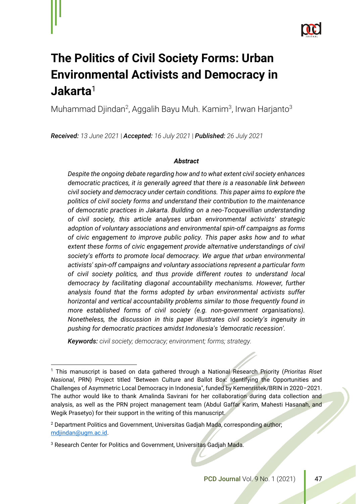

# **The Politics of Civil Society Forms: Urban Environmental Activists and Democracy in Jakarta**<sup>1</sup>

Muhammad Djindan<sup>2</sup>, Aggalih Bayu Muh. Kamim<sup>3</sup>, Irwan Harjanto<sup>3</sup>

*Received: 13 June 2021* | *Accepted: 16 July 2021* | *Published: 26 July 2021* 

# *Abstract*

*Despite the ongoing debate regarding how and to what extent civil society enhances democratic practices, it is generally agreed that there is a reasonable link between civil society and democracy under certain conditions. This paper aims to explore the politics of civil society forms and understand their contribution to the maintenance of democratic practices in Jakarta. Building on a neo-Tocquevillian understanding of civil society, this article analyses urban environmental activists' strategic adoption of voluntary associations and environmental spin-off campaigns as forms of civic engagement to improve public policy. This paper asks how and to what extent these forms of civic engagement provide alternative understandings of civil society's efforts to promote local democracy. We argue that urban environmental activists' spin-off campaigns and voluntary associations represent a particular form of civil society politics, and thus provide different routes to understand local democracy by facilitating diagonal accountability mechanisms. However, further analysis found that the forms adopted by urban environmental activists suffer horizontal and vertical accountability problems similar to those frequently found in more established forms of civil society (e.g. non-government organisations). Nonetheless, the discussion in this paper illustrates civil society's ingenuity in pushing for democratic practices amidst Indonesia's 'democratic recession'.* 

*Keywords: civil society; democracy; environment; forms; strategy.*

<sup>1</sup> This manuscript is based on data gathered through a National Research Priority (*Prioritas Riset Nasional*, PRN) Project titled "Between Culture and Ballot Box: Identifying the Opportunities and Challenges of Asymmetric Local Democracy in Indonesia", funded by Kemenristek/BRIN in 2020–2021. The author would like to thank Amalinda Savirani for her collaboration during data collection and analysis, as well as the PRN project management team (Abdul Gaffar Karim, Mahesti Hasanah, and Wegik Prasetyo) for their support in the writing of this manuscript.

<sup>2</sup> Department Politics and Government, Universitas Gadjah Mada, corresponding author; [mdjindan@ugm.ac.id.](mailto:mdjindan@ugm.ac.id)

<sup>&</sup>lt;sup>3</sup> Research Center for Politics and Government, Universitas Gadjah Mada.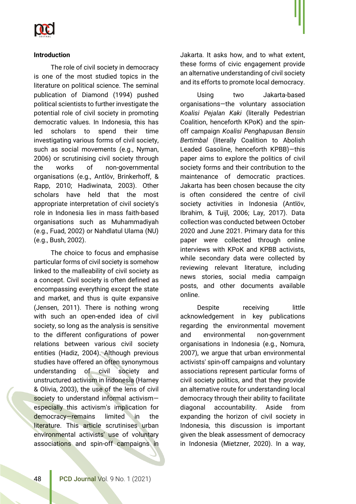

## **Introduction**

The role of civil society in democracy is one of the most studied topics in the literature on political science. The seminal publication of Diamond (1994) pushed political scientists to further investigate the potential role of civil society in promoting democratic values. In Indonesia, this has led scholars to spend their time investigating various forms of civil society, such as social movements (e.g., Nyman, 2006) or scrutinising civil society through the works of non-governmental organisations (e.g., Antlöv, Brinkerhoff, & Rapp, 2010; Hadiwinata, 2003). Other scholars have held that the most appropriate interpretation of civil society's role in Indonesia lies in mass faith-based organisations such as Muhammadiyah (e.g., Fuad, 2002) or Nahdlatul Ulama (NU) (e.g., Bush, 2002).

The choice to focus and emphasise particular forms of civil society is somehow linked to the malleability of civil society as a concept. Civil society is often defined as encompassing everything except the state and market, and thus is quite expansive (Jensen, 2011). There is nothing wrong with such an open-ended idea of civil society, so long as the analysis is sensitive to the different configurations of power relations between various civil society entities (Hadiz, 2004). Although previous studies have offered an often synonymous understanding of civil society and unstructured activism in Indonesia (Harney & Olivia, 2003), the use of the lens of civil society to understand informal activism especially this activism's implication for democracy—remains limited in the literature. This article scrutinises urban environmental activists' use of voluntary associations and spin-off campaigns in Jakarta. It asks how, and to what extent, these forms of civic engagement provide an alternative understanding of civil society and its efforts to promote local democracy.

Using two Jakarta-based organisations—the voluntary association *Koalisi Pejalan Kaki* (literally Pedestrian Coalition, henceforth KPoK) and the spinoff campaign *Koalisi Penghapusan Bensin Bertimbal* (literally Coalition to Abolish Leaded Gasoline, henceforth KPBB)—this paper aims to explore the politics of civil society forms and their contribution to the maintenance of democratic practices. Jakarta has been chosen because the city is often considered the centre of civil society activities in Indonesia (Antlöv, Ibrahim, & Tuijl, 2006; Lay, 2017). Data collection was conducted between October 2020 and June 2021. Primary data for this paper were collected through online interviews with KPoK and KPBB activists, while secondary data were collected by reviewing relevant literature, including news stories, social media campaign posts, and other documents available online.

Despite receiving little acknowledgement in key publications regarding the environmental movement and environmental non-government organisations in Indonesia (e.g., Nomura, 2007), we argue that urban environmental activists' spin-off campaigns and voluntary associations represent particular forms of civil society politics, and that they provide an alternative route for understanding local democracy through their ability to facilitate diagonal accountability. Aside from expanding the horizon of civil society in Indonesia, this discussion is important given the bleak assessment of democracy in Indonesia (Mietzner, 2020). In a way,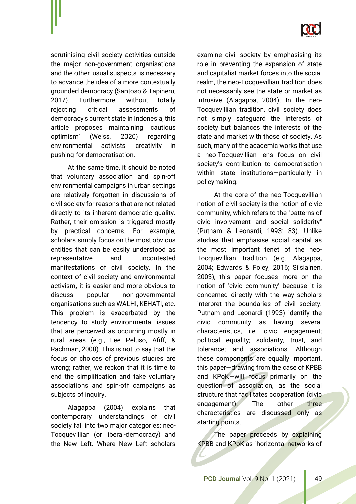

scrutinising civil society activities outside the major non-government organisations and the other 'usual suspects' is necessary to advance the idea of a more contextually grounded democracy (Santoso & Tapiheru, 2017). Furthermore, without totally rejecting critical assessments of democracy's current state in Indonesia, this article proposes maintaining 'cautious optimism' (Weiss, 2020) regarding environmental activists' creativity in pushing for democratisation.

At the same time, it should be noted that voluntary association and spin-off environmental campaigns in urban settings are relatively forgotten in discussions of civil society for reasons that are not related directly to its inherent democratic quality. Rather, their omission is triggered mostly by practical concerns. For example, scholars simply focus on the most obvious entities that can be easily understood as representative and uncontested manifestations of civil society. In the context of civil society and environmental activism, it is easier and more obvious to discuss popular non-governmental organisations such as WALHI, KEHATI, etc. This problem is exacerbated by the tendency to study environmental issues that are perceived as occurring mostly in rural areas (e.g., Lee Peluso, Afiff, & Rachman, 2008). This is not to say that the focus or choices of previous studies are wrong; rather, we reckon that it is time to end the simplification and take voluntary associations and spin-off campaigns as subjects of inquiry.

Alagappa (2004) explains that contemporary understandings of civil society fall into two major categories: neo-Tocquevillian (or liberal-democracy) and the New Left. Where New Left scholars examine civil society by emphasising its role in preventing the expansion of state and capitalist market forces into the social realm, the neo-Tocquevillian tradition does not necessarily see the state or market as intrusive (Alagappa, 2004). In the neo-Tocquevillian tradition, civil society does not simply safeguard the interests of society but balances the interests of the state and market with those of society. As such, many of the academic works that use a neo-Tocquevillian lens focus on civil society's contribution to democratisation within state institutions—particularly in policymaking.

At the core of the neo-Tocquevillian notion of civil society is the notion of civic community, which refers to the "patterns of civic involvement and social solidarity" (Putnam & Leonardi, 1993: 83). Unlike studies that emphasise social capital as the most important tenet of the neo-Tocquevillian tradition (e.g. Alagappa, 2004; Edwards & Foley, 2016; Siisiainen, 2003), this paper focuses more on the notion of 'civic community' because it is concerned directly with the way scholars interpret the boundaries of civil society. Putnam and Leonardi (1993) identify the civic community as having several characteristics, i.e. civic engagement; political equality; solidarity, trust, and tolerance; and associations. Although these components are equally important, this paper—drawing from the case of KPBB and KPoK—will focus primarily on the question of association, as the social structure that facilitates cooperation (civic engagement). The other three characteristics are discussed only as starting points.

The paper proceeds by explaining KPBB and KPoK as "horizontal networks of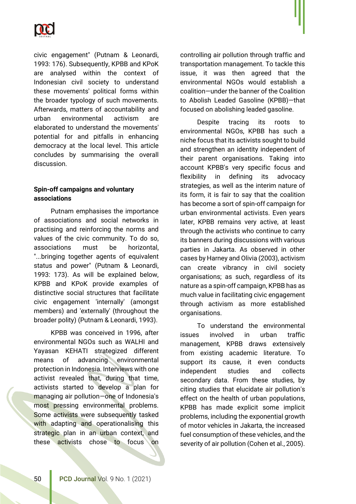

civic engagement" (Putnam & Leonardi, 1993: 176). Subsequently, KPBB and KPoK are analysed within the context of Indonesian civil society to understand these movements' political forms within the broader typology of such movements. Afterwards, matters of accountability and urban environmental activism are elaborated to understand the movements' potential for and pitfalls in enhancing democracy at the local level. This article concludes by summarising the overall discussion.

# **Spin-off campaigns and voluntary associations**

Putnam emphasises the importance of associations and social networks in practising and reinforcing the norms and values of the civic community. To do so, associations must be horizontal, "...bringing together agents of equivalent status and power" (Putnam & Leonardi, 1993: 173). As will be explained below, KPBB and KPoK provide examples of distinctive social structures that facilitate civic engagement 'internally' (amongst members) and 'externally' (throughout the broader polity) (Putnam & Leonardi, 1993).

KPBB was conceived in 1996, after environmental NGOs such as WALHI and Yayasan KEHATI strategized different means of advancing environmental protection in Indonesia. Interviews with one activist revealed that, during that time, activists started to develop a plan for managing air pollution—one of Indonesia's most pressing environmental problems. Some activists were subsequently tasked with adapting and operationalising this strategic plan in an urban context, and these activists chose to focus on

controlling air pollution through traffic and transportation management. To tackle this issue, it was then agreed that the environmental NGOs would establish a coalition—under the banner of the Coalition to Abolish Leaded Gasoline (KPBB)—that focused on abolishing leaded gasoline.

Despite tracing its roots to environmental NGOs, KPBB has such a niche focus that its activists sought to build and strengthen an identity independent of their parent organisations. Taking into account KPBB's very specific focus and flexibility in defining its advocacy strategies, as well as the interim nature of its form, it is fair to say that the coalition has become a sort of spin-off campaign for urban environmental activists. Even years later, KPBB remains very active, at least through the activists who continue to carry its banners during discussions with various parties in Jakarta. As observed in other cases by Harney and Olivia (2003), activism can create vibrancy in civil society organisations; as such, regardless of its nature as a spin-off campaign, KPBB has as much value in facilitating civic engagement through activism as more established organisations.

To understand the environmental issues involved in urban traffic management, KPBB draws extensively from existing academic literature. To support its cause, it even conducts independent studies and collects secondary data. From these studies, by citing studies that elucidate air pollution's effect on the health of urban populations, KPBB has made explicit some implicit problems, including the exponential growth of motor vehicles in Jakarta, the increased fuel consumption of these vehicles, and the severity of air pollution (Cohen et al., 2005).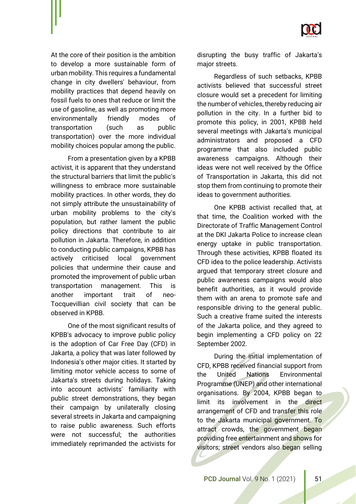

At the core of their position is the ambition to develop a more sustainable form of urban mobility. This requires a fundamental change in city dwellers' behaviour, from mobility practices that depend heavily on fossil fuels to ones that reduce or limit the use of gasoline, as well as promoting more environmentally friendly modes of transportation (such as public transportation) over the more individual mobility choices popular among the public.

From a presentation given by a KPBB activist, it is apparent that they understand the structural barriers that limit the public's willingness to embrace more sustainable mobility practices. In other words, they do not simply attribute the unsustainability of urban mobility problems to the city's population, but rather lament the public policy directions that contribute to air pollution in Jakarta. Therefore, in addition to conducting public campaigns, KPBB has actively criticised local government policies that undermine their cause and promoted the improvement of public urban transportation management. This is another important trait of neo-Tocquevillian civil society that can be observed in KPBB.

One of the most significant results of KPBB's advocacy to improve public policy is the adoption of Car Free Day (CFD) in Jakarta, a policy that was later followed by Indonesia's other major cities. It started by limiting motor vehicle access to some of Jakarta's streets during holidays. Taking into account activists' familiarity with public street demonstrations, they began their campaign by unilaterally closing several streets in Jakarta and campaigning to raise public awareness. Such efforts were not successful; the authorities immediately reprimanded the activists for disrupting the busy traffic of Jakarta's major streets.

Regardless of such setbacks, KPBB activists believed that successful street closure would set a precedent for limiting the number of vehicles, thereby reducing air pollution in the city. In a further bid to promote this policy, in 2001, KPBB held several meetings with Jakarta's municipal administrators and proposed a CFD programme that also included public awareness campaigns. Although their ideas were not well received by the Office of Transportation in Jakarta, this did not stop them from continuing to promote their ideas to government authorities.

One KPBB activist recalled that, at that time, the Coalition worked with the Directorate of Traffic Management Control at the DKI Jakarta Police to increase clean energy uptake in public transportation. Through these activities, KPBB floated its CFD idea to the police leadership. Activists argued that temporary street closure and public awareness campaigns would also benefit authorities, as it would provide them with an arena to promote safe and responsible driving to the general public. Such a creative frame suited the interests of the Jakarta police, and they agreed to begin implementing a CFD policy on 22 September 2002.

During the initial implementation of CFD, KPBB received financial support from the United Nations Environmental Programme (UNEP) and other international organisations. By 2004, KPBB began to limit its involvement in the direct arrangement of CFD and transfer this role to the Jakarta municipal government. To attract crowds, the government began providing free entertainment and shows for visitors; street vendors also began selling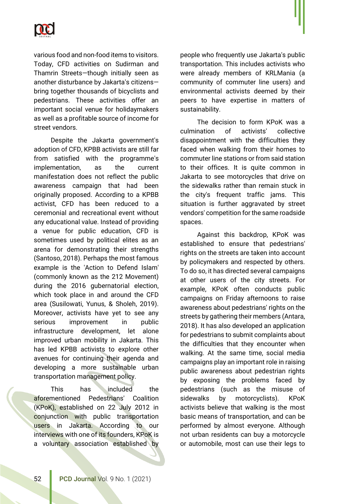

various food and non-food items to visitors. Today, CFD activities on Sudirman and Thamrin Streets—though initially seen as another disturbance by Jakarta's citizens bring together thousands of bicyclists and pedestrians. These activities offer an important social venue for holidaymakers as well as a profitable source of income for street vendors.

Despite the Jakarta government's adoption of CFD, KPBB activists are still far from satisfied with the programme's implementation, as the current manifestation does not reflect the public awareness campaign that had been originally proposed. According to a KPBB activist, CFD has been reduced to a ceremonial and recreational event without any educational value. Instead of providing a venue for public education, CFD is sometimes used by political elites as an arena for demonstrating their strengths (Santoso, 2018). Perhaps the most famous example is the 'Action to Defend Islam' (commonly known as the 212 Movement) during the 2016 gubernatorial election, which took place in and around the CFD area (Susilowati, Yunus, & Sholeh, 2019). Moreover, activists have yet to see any serious improvement in public infrastructure development, let alone improved urban mobility in Jakarta. This has led KPBB activists to explore other avenues for continuing their agenda and developing a more sustainable urban transportation management policy.

This has included the aforementioned Pedestrians' Coalition (KPoK), established on 22 July 2012 in conjunction with public transportation users in Jakarta. According to our interviews with one of its founders, KPoK is a voluntary association established by people who frequently use Jakarta's public transportation. This includes activists who were already members of KRLMania (a community of commuter line users) and environmental activists deemed by their peers to have expertise in matters of sustainability.

The decision to form KPoK was a culmination of activists' collective disappointment with the difficulties they faced when walking from their homes to commuter line stations or from said station to their offices. It is quite common in Jakarta to see motorcycles that drive on the sidewalks rather than remain stuck in the city's frequent traffic jams. This situation is further aggravated by street vendors' competition for the same roadside spaces.

Against this backdrop, KPoK was established to ensure that pedestrians' rights on the streets are taken into account by policymakers and respected by others. To do so, it has directed several campaigns at other users of the city streets. For example, KPoK often conducts public campaigns on Friday afternoons to raise awareness about pedestrians' rights on the streets by gathering their members (Antara, 2018). It has also developed an application for pedestrians to submit complaints about the difficulties that they encounter when walking. At the same time, social media campaigns play an important role in raising public awareness about pedestrian rights by exposing the problems faced by pedestrians (such as the misuse of sidewalks by motorcyclists). KPoK activists believe that walking is the most basic means of transportation, and can be performed by almost everyone. Although not urban residents can buy a motorcycle or automobile, most can use their legs to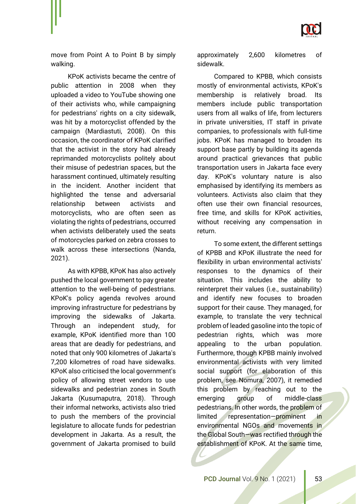

move from Point A to Point B by simply walking.

KPoK activists became the centre of public attention in 2008 when they uploaded a video to YouTube showing one of their activists who, while campaigning for pedestrians' rights on a city sidewalk, was hit by a motorcyclist offended by the campaign (Mardiastuti, 2008). On this occasion, the coordinator of KPoK clarified that the activist in the story had already reprimanded motorcyclists politely about their misuse of pedestrian spaces, but the harassment continued, ultimately resulting in the incident. Another incident that highlighted the tense and adversarial relationship between activists and motorcyclists, who are often seen as violating the rights of pedestrians, occurred when activists deliberately used the seats of motorcycles parked on zebra crosses to walk across these intersections (Nanda, 2021).

As with KPBB, KPoK has also actively pushed the local government to pay greater attention to the well-being of pedestrians. KPoK's policy agenda revolves around improving infrastructure for pedestrians by improving the sidewalks of Jakarta. Through an independent study, for example, KPoK identified more than 100 areas that are deadly for pedestrians, and noted that only 900 kilometres of Jakarta's 7,200 kilometres of road have sidewalks. KPoK also criticised the local government's policy of allowing street vendors to use sidewalks and pedestrian zones in South Jakarta (Kusumaputra, 2018). Through their informal networks, activists also tried to push the members of the provincial legislature to allocate funds for pedestrian development in Jakarta. As a result, the government of Jakarta promised to build

approximately 2,600 kilometres of sidewalk.

Compared to KPBB, which consists mostly of environmental activists, KPoK's membership is relatively broad. Its members include public transportation users from all walks of life, from lecturers in private universities, IT staff in private companies, to professionals with full-time jobs. KPoK has managed to broaden its support base partly by building its agenda around practical grievances that public transportation users in Jakarta face every day. KPoK's voluntary nature is also emphasised by identifying its members as volunteers. Activists also claim that they often use their own financial resources, free time, and skills for KPoK activities, without receiving any compensation in return.

To some extent, the different settings of KPBB and KPoK illustrate the need for flexibility in urban environmental activists' responses to the dynamics of their situation. This includes the ability to reinterpret their values (i.e., sustainability) and identify new focuses to broaden support for their cause. They managed, for example, to translate the very technical problem of leaded gasoline into the topic of pedestrian rights, which was more appealing to the urban population. Furthermore, though KPBB mainly involved environmental activists with very limited social support (for elaboration of this problem, see Nomura, 2007), it remedied this problem by reaching out to the emerging group of middle-class pedestrians. In other words, the problem of limited representation—prominent in environmental NGOs and movements in the Global South—was rectified through the establishment of KPoK. At the same time,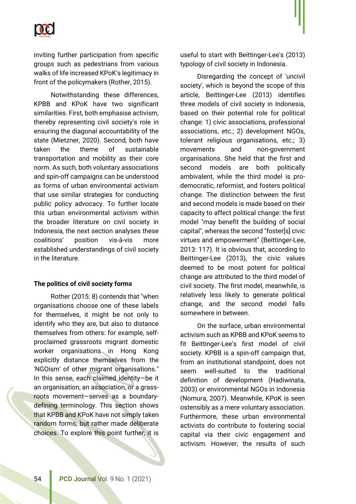

inviting further participation from specific groups such as pedestrians from various walks of life increased KPoK's legitimacy in front of the policymakers (Rother, 2015).

Notwithstanding these differences, KPBB and KPoK have two significant similarities. First, both emphasise activism, thereby representing civil society's role in ensuring the diagonal accountability of the state (Mietzner, 2020). Second, both have taken the theme of sustainable transportation and mobility as their core norm. As such, both voluntary associations and spin-off campaigns can be understood as forms of urban environmental activism that use similar strategies for conducting public policy advocacy. To further locate this urban environmental activism within the broader literature on civil society in Indonesia, the next section analyses these coalitions' position vis-à-vis more established understandings of civil society in the literature.

#### **The politics of civil society forms**

Rother (2015: 8) contends that "when organisations choose one of these labels for themselves, it might be not only to identify who they are, but also to distance themselves from others: for example, selfproclaimed grassroots migrant domestic worker organisations in Hong Kong explicitly distance themselves from the 'NGOism' of other migrant organisations." In this sense, each claimed identity—be it an organisation, an association, or a grassroots movement—serves as a boundarydefining terminology. This section shows that KPBB and KPoK have not simply taken random forms, but rather made deliberate choices. To explore this point further, it is

useful to start with Beittinger-Lee's (2013) typology of civil society in Indonesia.

Disregarding the concept of 'uncivil society', which is beyond the scope of this article, Beittinger-Lee (2013) identifies three models of civil society in Indonesia, based on their potential role for political change: 1) civic associations, professional associations, etc.; 2) development NGOs, tolerant religious organisations, etc.; 3) movements and non-government organisations. She held that the first and second models are both politically ambivalent, while the third model is prodemocratic, reformist, and fosters political change. The distinction between the first and second models is made based on their capacity to affect political change: the first model "may benefit the building of social capital", whereas the second "foster[s] civic virtues and empowerment" (Beittinger-Lee, 2013: 117). It is obvious that, according to Beittinger-Lee (2013), the civic values deemed to be most potent for political change are attributed to the third model of civil society. The first model, meanwhile, is relatively less likely to generate political change, and the second model falls somewhere in between.

On the surface, urban environmental activism such as KPBB and KPoK seems to fit Beittinger-Lee's first model of civil society. KPBB is a spin-off campaign that, from an institutional standpoint, does not seem well-suited to the traditional definition of development (Hadiwinata, 2003) or environmental NGOs in Indonesia (Nomura, 2007). Meanwhile, KPoK is seen ostensibly as a mere voluntary association. Furthermore, these urban environmental activists do contribute to fostering social capital via their civic engagement and activism. However, the results of such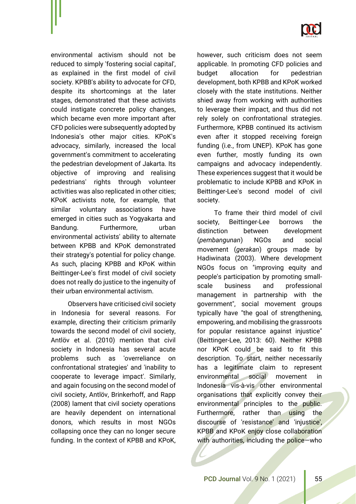

environmental activism should not be reduced to simply 'fostering social capital', as explained in the first model of civil society. KPBB's ability to advocate for CFD, despite its shortcomings at the later stages, demonstrated that these activists could instigate concrete policy changes, which became even more important after CFD policies were subsequently adopted by Indonesia's other major cities. KPoK's advocacy, similarly, increased the local government's commitment to accelerating the pedestrian development of Jakarta. Its objective of improving and realising pedestrians' rights through volunteer activities was also replicated in other cities; KPoK activists note, for example, that similar voluntary associations have emerged in cities such as Yogyakarta and Bandung. Furthermore, urban environmental activists' ability to alternate between KPBB and KPoK demonstrated their strategy's potential for policy change. As such, placing KPBB and KPoK within Beittinger-Lee's first model of civil society does not really do justice to the ingenuity of their urban environmental activism.

Observers have criticised civil society in Indonesia for several reasons. For example, directing their criticism primarily towards the second model of civil society, Antlöv et al. (2010) mention that civil society in Indonesia has several acute problems such as 'overreliance on confrontational strategies' and 'inability to cooperate to leverage impact'. Similarly, and again focusing on the second model of civil society, Antlöv, Brinkerhoff, and Rapp (2008) lament that civil society operations are heavily dependent on international donors, which results in most NGOs collapsing once they can no longer secure funding. In the context of KPBB and KPoK,

however, such criticism does not seem applicable. In promoting CFD policies and budget allocation for pedestrian development, both KPBB and KPoK worked closely with the state institutions. Neither shied away from working with authorities to leverage their impact, and thus did not rely solely on confrontational strategies. Furthermore, KPBB continued its activism even after it stopped receiving foreign funding (i.e., from UNEP). KPoK has gone even further, mostly funding its own campaigns and advocacy independently. These experiences suggest that it would be problematic to include KPBB and KPoK in Beittinger-Lee's second model of civil society.

To frame their third model of civil society, Beittinger-Lee borrows the distinction between development (*pembangunan*) NGOs and social movement (*gerakan*) groups made by Hadiwinata (2003). Where development NGOs focus on "improving equity and people's participation by promoting smallscale business and professional management in partnership with the government", social movement groups typically have "the goal of strengthening, empowering, and mobilising the grassroots for popular resistance against injustice" (Beittinger-Lee, 2013: 60). Neither KPBB nor KPoK could be said to fit this description. To start, neither necessarily has a legitimate claim to represent environmental social movement in Indonesia vis-à-vis other environmental organisations that explicitly convey their environmental principles to the public. Furthermore, rather than using the discourse of 'resistance' and 'injustice', KPBB and KPoK enjoy close collaboration with authorities, including the police-who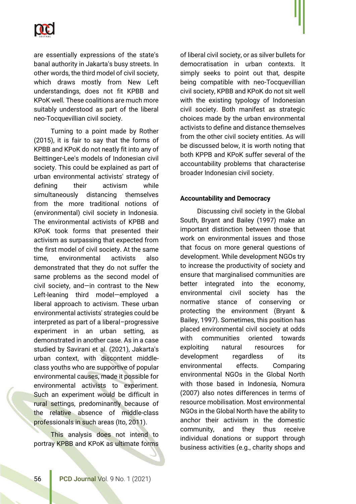

are essentially expressions of the state's banal authority in Jakarta's busy streets. In other words, the third model of civil society, which draws mostly from New Left understandings, does not fit KPBB and KPoK well. These coalitions are much more suitably understood as part of the liberal neo-Tocquevillian civil society.

Turning to a point made by Rother (2015), it is fair to say that the forms of KPBB and KPoK do not neatly fit into any of Beittinger-Lee's models of Indonesian civil society. This could be explained as part of urban environmental activists' strategy of defining their activism while simultaneously distancing themselves from the more traditional notions of (environmental) civil society in Indonesia. The environmental activists of KPBB and KPoK took forms that presented their activism as surpassing that expected from the first model of civil society. At the same time, environmental activists also demonstrated that they do not suffer the same problems as the second model of civil society, and—in contrast to the New Left-leaning third model—employed a liberal approach to activism. These urban environmental activists' strategies could be interpreted as part of a liberal–progressive experiment in an urban setting, as demonstrated in another case. As in a case studied by Savirani et al. (2021), Jakarta's urban context, with discontent middleclass youths who are supportive of popular environmental causes, made it possible for environmental activists to experiment. Such an experiment would be difficult in rural settings, predominantly because of the relative absence of middle-class professionals in such areas (Ito, 2011).

This analysis does not intend to portray KPBB and KPoK as ultimate forms of liberal civil society, or as silver bullets for democratisation in urban contexts. It simply seeks to point out that, despite being compatible with neo-Tocquevillian civil society, KPBB and KPoK do not sit well with the existing typology of Indonesian civil society. Both manifest as strategic choices made by the urban environmental activists to define and distance themselves from the other civil society entities. As will be discussed below, it is worth noting that both KPPB and KPoK suffer several of the accountability problems that characterise broader Indonesian civil society.

#### **Accountability and Democracy**

Discussing civil society in the Global South, Bryant and Bailey (1997) make an important distinction between those that work on environmental issues and those that focus on more general questions of development. While development NGOs try to increase the productivity of society and ensure that marginalised communities are better integrated into the economy, environmental civil society has the normative stance of conserving or protecting the environment (Bryant & Bailey, 1997). Sometimes, this position has placed environmental civil society at odds with communities oriented towards exploiting natural resources for development regardless of its environmental effects. Comparing environmental NGOs in the Global North with those based in Indonesia, Nomura (2007) also notes differences in terms of resource mobilisation. Most environmental NGOs in the Global North have the ability to anchor their activism in the domestic community, and they thus receive individual donations or support through business activities (e.g., charity shops and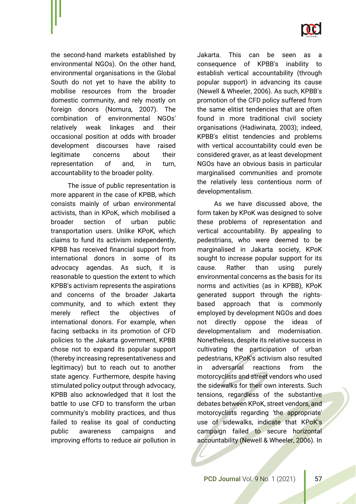

the second-hand markets established by environmental NGOs). On the other hand, environmental organisations in the Global South do not yet to have the ability to mobilise resources from the broader domestic community, and rely mostly on foreign donors (Nomura, 2007). The combination of environmental NGOs' relatively weak linkages and their occasional position at odds with broader development discourses have raised legitimate concerns about their representation of and, in turn, accountability to the broader polity.

The issue of public representation is more apparent in the case of KPBB, which consists mainly of urban environmental activists, than in KPoK, which mobilised a broader section of urban public transportation users. Unlike KPoK, which claims to fund its activism independently, KPBB has received financial support from international donors in some of its advocacy agendas. As such, it is reasonable to question the extent to which KPBB's activism represents the aspirations and concerns of the broader Jakarta community, and to which extent they merely reflect the objectives of international donors. For example, when facing setbacks in its promotion of CFD policies to the Jakarta government, KPBB chose not to expand its popular support (thereby increasing representativeness and legitimacy) but to reach out to another state agency. Furthermore, despite having stimulated policy output through advocacy, KPBB also acknowledged that it lost the battle to use CFD to transform the urban community's mobility practices, and thus failed to realise its goal of conducting public awareness campaigns and improving efforts to reduce air pollution in

Jakarta. This can be seen as a consequence of KPBB's inability to establish vertical accountability (through popular support) in advancing its cause (Newell & Wheeler, 2006). As such, KPBB's promotion of the CFD policy suffered from the same elitist tendencies that are often found in more traditional civil society organisations (Hadiwinata, 2003); indeed, KPBB's elitist tendencies and problems with vertical accountability could even be considered graver, as at least development NGOs have an obvious basis in particular marginalised communities and promote the relatively less contentious norm of developmentalism.

As we have discussed above, the form taken by KPoK was designed to solve these problems of representation and vertical accountability. By appealing to pedestrians, who were deemed to be marginalised in Jakarta society, KPoK sought to increase popular support for its cause. Rather than using purely environmental concerns as the basis for its norms and activities (as in KPBB), KPoK generated support through the rightsbased approach that is commonly employed by development NGOs and does not directly oppose the ideas of developmentalism and modernisation. Nonetheless, despite its relative success in cultivating the participation of urban pedestrians, KPoK's activism also resulted in adversarial reactions from the motorcyclists and street vendors who used the sidewalks for their own interests. Such tensions, regardless of the substantive debates between KPoK, street vendors, and motorcyclists regarding 'the appropriate' use of sidewalks, indicate that KPoK's campaign failed to secure horizontal accountability (Newell & Wheeler, 2006). In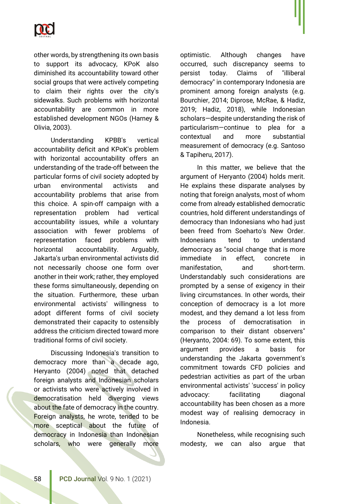

other words, by strengthening its own basis to support its advocacy, KPoK also diminished its accountability toward other social groups that were actively competing to claim their rights over the city's sidewalks. Such problems with horizontal accountability are common in more established development NGOs (Harney & Olivia, 2003).

Understanding KPBB's vertical accountability deficit and KPoK's problem with horizontal accountability offers an understanding of the trade-off between the particular forms of civil society adopted by urban environmental activists and accountability problems that arise from this choice. A spin-off campaign with a representation problem had vertical accountability issues, while a voluntary association with fewer problems of representation faced problems with horizontal accountability. Arguably, Jakarta's urban environmental activists did not necessarily choose one form over another in their work; rather, they employed these forms simultaneously, depending on the situation. Furthermore, these urban environmental activists' willingness to adopt different forms of civil society demonstrated their capacity to ostensibly address the criticism directed toward more traditional forms of civil society.

Discussing Indonesia's transition to democracy more than a decade ago, Heryanto (2004) noted that detached foreign analysts and Indonesian scholars or activists who were actively involved in democratisation held diverging views about the fate of democracy in the country. Foreign analysts, he wrote, tended to be more sceptical about the future of democracy in Indonesia than Indonesian scholars, who were generally more optimistic. Although changes have occurred, such discrepancy seems to persist today. Claims of "illiberal democracy" in contemporary Indonesia are prominent among foreign analysts (e.g. Bourchier, 2014; Diprose, McRae, & Hadiz, 2019; Hadiz, 2018), while Indonesian scholars—despite understanding the risk of particularism—continue to plea for a contextual and more substantial measurement of democracy (e.g. Santoso & Tapiheru, 2017).

In this matter, we believe that the argument of Heryanto (2004) holds merit. He explains these disparate analyses by noting that foreign analysts, most of whom come from already established democratic countries, hold different understandings of democracy than Indonesians who had just been freed from Soeharto's New Order. Indonesians tend to understand democracy as "social change that is more immediate in effect, concrete in manifestation, and short-term. Understandably such considerations are prompted by a sense of exigency in their living circumstances. In other words, their conception of democracy is a lot more modest, and they demand a lot less from the process of democratisation in comparison to their distant observers" (Heryanto, 2004: 69). To some extent, this argument provides a basis for understanding the Jakarta government's commitment towards CFD policies and pedestrian activities as part of the urban environmental activists' 'success' in policy advocacy: facilitating diagonal accountability has been chosen as a more modest way of realising democracy in Indonesia.

Nonetheless, while recognising such modesty, we can also argue that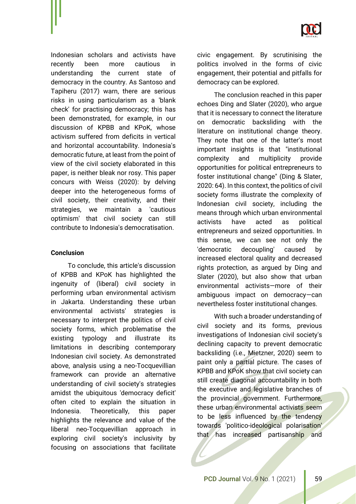

Indonesian scholars and activists have recently been more cautious in understanding the current state of democracy in the country. As Santoso and Tapiheru (2017) warn, there are serious risks in using particularism as a 'blank check' for practising democracy; this has been demonstrated, for example, in our discussion of KPBB and KPoK, whose activism suffered from deficits in vertical and horizontal accountability. Indonesia's democratic future, at least from the point of view of the civil society elaborated in this paper, is neither bleak nor rosy. This paper concurs with Weiss (2020): by delving deeper into the heterogeneous forms of civil society, their creativity, and their strategies, we maintain a 'cautious optimism' that civil society can still contribute to Indonesia's democratisation.

## **Conclusion**

To conclude, this article's discussion of KPBB and KPoK has highlighted the ingenuity of (liberal) civil society in performing urban environmental activism in Jakarta. Understanding these urban environmental activists' strategies is necessary to interpret the politics of civil society forms, which problematise the existing typology and illustrate its limitations in describing contemporary Indonesian civil society. As demonstrated above, analysis using a neo-Tocquevillian framework can provide an alternative understanding of civil society's strategies amidst the ubiquitous 'democracy deficit' often cited to explain the situation in Indonesia. Theoretically, this paper highlights the relevance and value of the liberal neo-Tocquevillian approach in exploring civil society's inclusivity by focusing on associations that facilitate civic engagement. By scrutinising the politics involved in the forms of civic engagement, their potential and pitfalls for democracy can be explored.

The conclusion reached in this paper echoes Ding and Slater (2020), who argue that it is necessary to connect the literature on democratic backsliding with the literature on institutional change theory. They note that one of the latter's most important insights is that "institutional complexity and multiplicity provide opportunities for political entrepreneurs to foster institutional change" (Ding & Slater, 2020: 64). In this context, the politics of civil society forms illustrate the complexity of Indonesian civil society, including the means through which urban environmental activists have acted as political entrepreneurs and seized opportunities. In this sense, we can see not only the 'democratic decoupling' caused by increased electoral quality and decreased rights protection, as argued by Ding and Slater (2020), but also show that urban environmental activists—more of their ambiguous impact on democracy—can nevertheless foster institutional changes.

With such a broader understanding of civil society and its forms, previous investigations of Indonesian civil society's declining capacity to prevent democratic backsliding (i.e., Mietzner, 2020) seem to paint only a partial picture. The cases of KPBB and KPoK show that civil society can still create diagonal accountability in both the executive and legislative branches of the provincial government. Furthermore, these urban environmental activists seem to be less influenced by the tendency towards 'politico-ideological polarisation' that has increased partisanship and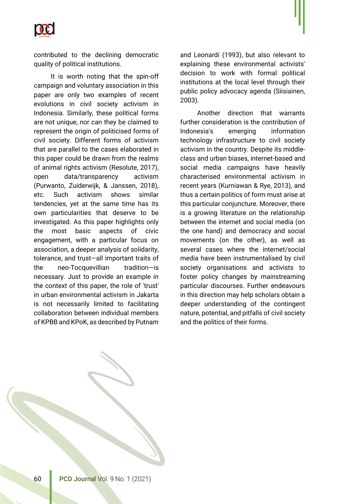

contributed to the declining democratic quality of political institutions.

It is worth noting that the spin-off campaign and voluntary association in this paper are only two examples of recent evolutions in civil society activism in Indonesia. Similarly, these political forms are not unique, nor can they be claimed to represent the origin of politicised forms of civil society. Different forms of activism that are parallel to the cases elaborated in this paper could be drawn from the realms of animal rights activism (Resolute, 2017), open data/transparency activism (Purwanto, Zuiderwijk, & Janssen, 2018), etc. Such activism shows similar tendencies, yet at the same time has its own particularities that deserve to be investigated. As this paper highlights only the most basic aspects of civic engagement, with a particular focus on association, a deeper analysis of solidarity, tolerance, and trust—all important traits of the neo-Tocquevillian tradition—is necessary. Just to provide an example in the context of this paper, the role of 'trust' in urban environmental activism in Jakarta is not necessarily limited to facilitating collaboration between individual members of KPBB and KPoK, as described by Putnam and Leonardi (1993), but also relevant to explaining these environmental activists' decision to work with formal political institutions at the local level through their public policy advocacy agenda (Siisiainen, 2003).

Another direction that warrants further consideration is the contribution of Indonesia's emerging information technology infrastructure to civil society activism in the country. Despite its middleclass and urban biases, internet-based and social media campaigns have heavily characterised environmental activism in recent years (Kurniawan & Rye, 2013), and thus a certain politics of form must arise at this particular conjuncture. Moreover, there is a growing literature on the relationship between the internet and social media (on the one hand) and democracy and social movements (on the other), as well as several cases where the internet/social media have been instrumentalised by civil society organisations and activists to foster policy changes by mainstreaming particular discourses. Further endeavours in this direction may help scholars obtain a deeper understanding of the contingent nature, potential, and pitfalls of civil society and the politics of their forms.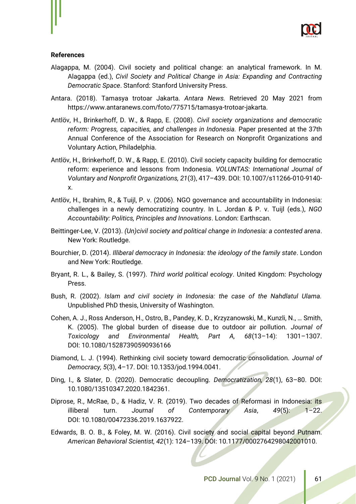

#### **References**

- Alagappa, M. (2004). Civil society and political change: an analytical framework. In M. Alagappa (ed.), *Civil Society and Political Change in Asia: Expanding and Contracting Democratic Space*. Stanford: Stanford University Press.
- Antara. (2018). Tamasya trotoar Jakarta. *Antara News.* Retrieved 20 May 2021 from https://www.antaranews.com/foto/775715/tamasya-trotoar-jakarta.
- Antlöv, H., Brinkerhoff, D. W., & Rapp, E. (2008). *Civil society organizations and democratic reform: Progress, capacities, and challenges in Indonesia.* Paper presented at the 37th Annual Conference of the Association for Research on Nonprofit Organizations and Voluntary Action, Philadelphia.
- Antlöv, H., Brinkerhoff, D. W., & Rapp, E. (2010). Civil society capacity building for democratic reform: experience and lessons from Indonesia. *VOLUNTAS: International Journal of Voluntary and Nonprofit Organizations, 21*(3), 417–439. DOI: 10.1007/s11266-010-9140 x.
- Antlöv, H., Ibrahim, R., & Tuijl, P. v. (2006). NGO governance and accountability in Indonesia: challenges in a newly democratizing country. In L. Jordan & P. v. Tuijl (eds.), *NGO Accountability: Politics, Principles and Innovations*. London: Earthscan.
- Beittinger-Lee, V. (2013). *(Un)civil society and political change in Indonesia: a contested arena*. New York: Routledge.
- Bourchier, D. (2014). *Illiberal democracy in Indonesia: the ideology of the family state*. London and New York: Routledge.
- Bryant, R. L., & Bailey, S. (1997). *Third world political ecology*. United Kingdom: Psychology Press.
- Bush, R. (2002). *Islam and civil society in Indonesia: the case of the Nahdlatul Ulama.* Unpublished PhD thesis, University of Washington.
- Cohen, A. J., Ross Anderson, H., Ostro, B., Pandey, K. D., Krzyzanowski, M., Kunzli, N., … Smith, K. (2005). The global burden of disease due to outdoor air pollution. *Journal of Toxicology and Environmental Health, Part A, 68*(13–14): 1301–1307. DOI: 10.1080/15287390590936166
- Diamond, L. J. (1994). Rethinking civil society toward democratic consolidation. *Journal of Democracy, 5*(3), 4–17. DOI: 10.1353/jod.1994.0041.
- Ding, I., & Slater, D. (2020). Democratic decoupling. *Democratization, 28*(1), 63–80. DOI: 10.1080/13510347.2020.1842361.
- Diprose, R., McRae, D., & Hadiz, V. R. (2019). Two decades of Reformasi in Indonesia: its illiberal turn. *Journal of Contemporary Asia*, *49*(5): 1–22. DOI: 10.1080/00472336.2019.1637922.
- Edwards, B. O. B., & Foley, M. W. (2016). Civil society and social capital beyond Putnam. *American Behavioral Scientist, 42*(1): 124–139. DOI: 10.1177/0002764298042001010.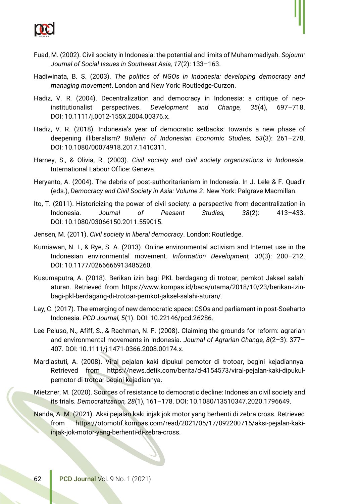

- Fuad, M. (2002). Civil society in Indonesia: the potential and limits of Muhammadiyah. *Sojourn: Journal of Social Issues in Southeast Asia, 17*(2): 133–163.
- Hadiwinata, B. S. (2003). *The politics of NGOs in Indonesia: developing democracy and managing movement*. London and New York: Routledge-Curzon.
- Hadiz, V. R. (2004). Decentralization and democracy in Indonesia: a critique of neoinstitutionalist perspectives. *Development and Change, 35*(4), 697–718. DOI: 10.1111/j.0012-155X.2004.00376.x.
- Hadiz, V. R. (2018). Indonesia's year of democratic setbacks: towards a new phase of deepening illiberalism? *Bulletin of Indonesian Economic Studies, 53*(3): 261–278. DOI: 10.1080/00074918.2017.1410311.
- Harney, S., & Olivia, R. (2003). *Civil society and civil society organizations in Indonesia*. International Labour Office: Geneva.
- Heryanto, A. (2004). The debris of post-authoritarianism in Indonesia. In J. Lele & F. Quadir (eds.), *Democracy and Civil Society in Asia: Volume 2*. New York: Palgrave Macmillan.
- Ito, T. (2011). Historicizing the power of civil society: a perspective from decentralization in Indonesia. *Journal of Peasant Studies, 38*(2): 413–433. DOI: 10.1080/03066150.2011.559015.
- Jensen, M. (2011). *Civil society in liberal democracy*. London: Routledge.
- Kurniawan, N. I., & Rye, S. A. (2013). Online environmental activism and Internet use in the Indonesian environmental movement. *Information Development, 30*(3): 200–212. DOI: 10.1177/0266666913485260.
- Kusumaputra, A. (2018). Berikan izin bagi PKL berdagang di trotoar, pemkot Jaksel salahi aturan. Retrieved from https://www.kompas.id/baca/utama/2018/10/23/berikan-izinbagi-pkl-berdagang-di-trotoar-pemkot-jaksel-salahi-aturan/.
- Lay, C. (2017). The emerging of new democratic space: CSOs and parliament in post-Soeharto Indonesia. *PCD Journal, 5*(1). DOI: 10.22146/pcd.26286.
- Lee Peluso, N., Afiff, S., & Rachman, N. F. (2008). Claiming the grounds for reform: agrarian and environmental movements in Indonesia. *Journal of Agrarian Change, 8*(2–3): 377– 407. DOI: 10.1111/j.1471-0366.2008.00174.x.
- Mardiastuti, A. (2008). Viral pejalan kaki dipukul pemotor di trotoar, begini kejadiannya. Retrieved from https://news.detik.com/berita/d-4154573/viral-pejalan-kaki-dipukulpemotor-di-trotoar-begini-kejadiannya.
- Mietzner, M. (2020). Sources of resistance to democratic decline: Indonesian civil society and its trials. *Democratization, 28*(1), 161–178. DOI: 10.1080/13510347.2020.1796649.
- Nanda, A. M. (2021). Aksi pejalan kaki injak jok motor yang berhenti di zebra cross. Retrieved from https://otomotif.kompas.com/read/2021/05/17/092200715/aksi-pejalan-kakiinjak-jok-motor-yang-berhenti-di-zebra-cross.